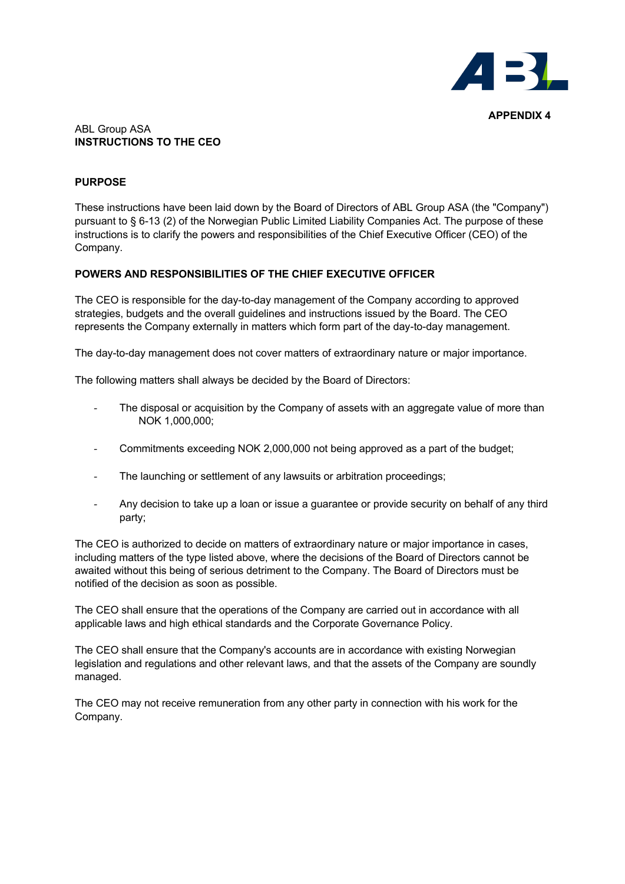

#### ABL Group ASA **INSTRUCTIONS TO THE CEO**

## **PURPOSE**

These instructions have been laid down by the Board of Directors of ABL Group ASA (the "Company") pursuant to § 6-13 (2) of the Norwegian Public Limited Liability Companies Act. The purpose of these instructions is to clarify the powers and responsibilities of the Chief Executive Officer (CEO) of the Company.

# **POWERS AND RESPONSIBILITIES OF THE CHIEF EXECUTIVE OFFICER**

The CEO is responsible for the day-to-day management of the Company according to approved strategies, budgets and the overall guidelines and instructions issued by the Board. The CEO represents the Company externally in matters which form part of the day-to-day management.

The day-to-day management does not cover matters of extraordinary nature or major importance.

The following matters shall always be decided by the Board of Directors:

- The disposal or acquisition by the Company of assets with an aggregate value of more than NOK 1,000,000;
- Commitments exceeding NOK 2,000,000 not being approved as a part of the budget;
- The launching or settlement of any lawsuits or arbitration proceedings;
- Any decision to take up a loan or issue a guarantee or provide security on behalf of any third party;

The CEO is authorized to decide on matters of extraordinary nature or major importance in cases, including matters of the type listed above, where the decisions of the Board of Directors cannot be awaited without this being of serious detriment to the Company. The Board of Directors must be notified of the decision as soon as possible.

The CEO shall ensure that the operations of the Company are carried out in accordance with all applicable laws and high ethical standards and the Corporate Governance Policy.

The CEO shall ensure that the Company's accounts are in accordance with existing Norwegian legislation and regulations and other relevant laws, and that the assets of the Company are soundly managed.

The CEO may not receive remuneration from any other party in connection with his work for the Company.